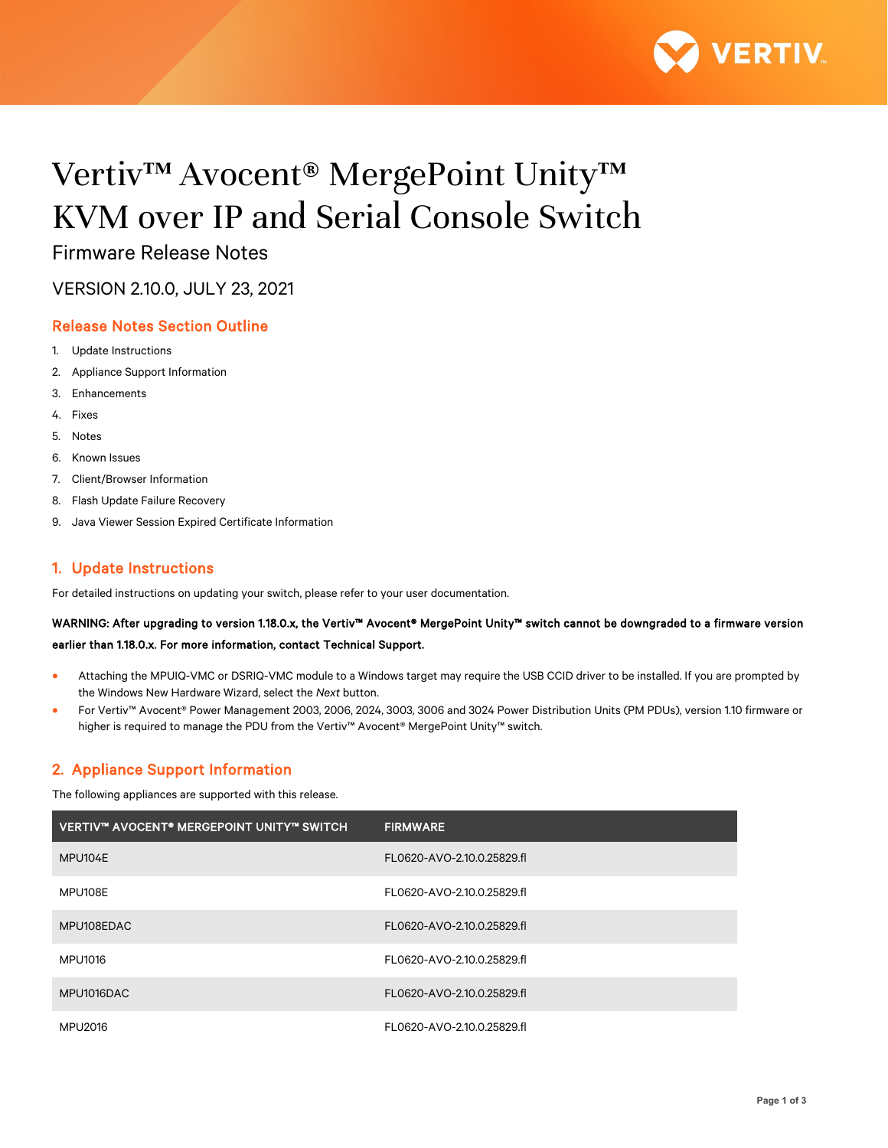

# Vertiv™ Avocent® MergePoint Unity™ KVM over IP and Serial Console Switch

Firmware Release Notes

VERSION 2.10.0, JULY 23, 2021

# Release Notes Section Outline

- 1. Update Instructions
- 2. Appliance Support Information
- 3. Enhancements
- 4. Fixes
- 5. Notes
- 6. Known Issues
- 7. Client/Browser Information
- 8. Flash Update Failure Recovery
- 9. Java Viewer Session Expired Certificate Information

# 1. Update Instructions

For detailed instructions on updating your switch, please refer to your user documentation.

# WARNING: After upgrading to version 1.18.0.x, the Vertiv™ Avocent® MergePoint Unity™ switch cannot be downgraded to a firmware version earlier than 1.18.0.x. For more information, contact Technical Support.

- Attaching the MPUIQ-VMC or DSRIQ-VMC module to a Windows target may require the USB CCID driver to be installed. If you are prompted by the Windows New Hardware Wizard, select the *Next* button.
- For Vertiv™ Avocent® Power Management 2003, 2006, 2024, 3003, 3006 and 3024 Power Distribution Units (PM PDUs), version 1.10 firmware or higher is required to manage the PDU from the Vertiv™ Avocent® MergePoint Unity™ switch.

# 2. Appliance Support Information

The following appliances are supported with this release.

| I VERTIV™ AVOCENT® MERGEPOINT UNITY™ SWITCH | <b>FIRMWARE</b>            |
|---------------------------------------------|----------------------------|
| MPU104E                                     | FL0620-AVO-2.10.0.25829.fl |
| MPU108E                                     | FL0620-AVO-2.10.0.25829.fl |
| MPU108EDAC                                  | FL0620-AVO-2.10.0.25829.fl |
| MPU1016                                     | FL0620-AVO-2.10.0.25829.fl |
| MPU1016DAC                                  | FL0620-AVO-2.10.0.25829.fl |
| <b>MPU2016</b>                              | FL0620-AVO-2.10.0.25829.fl |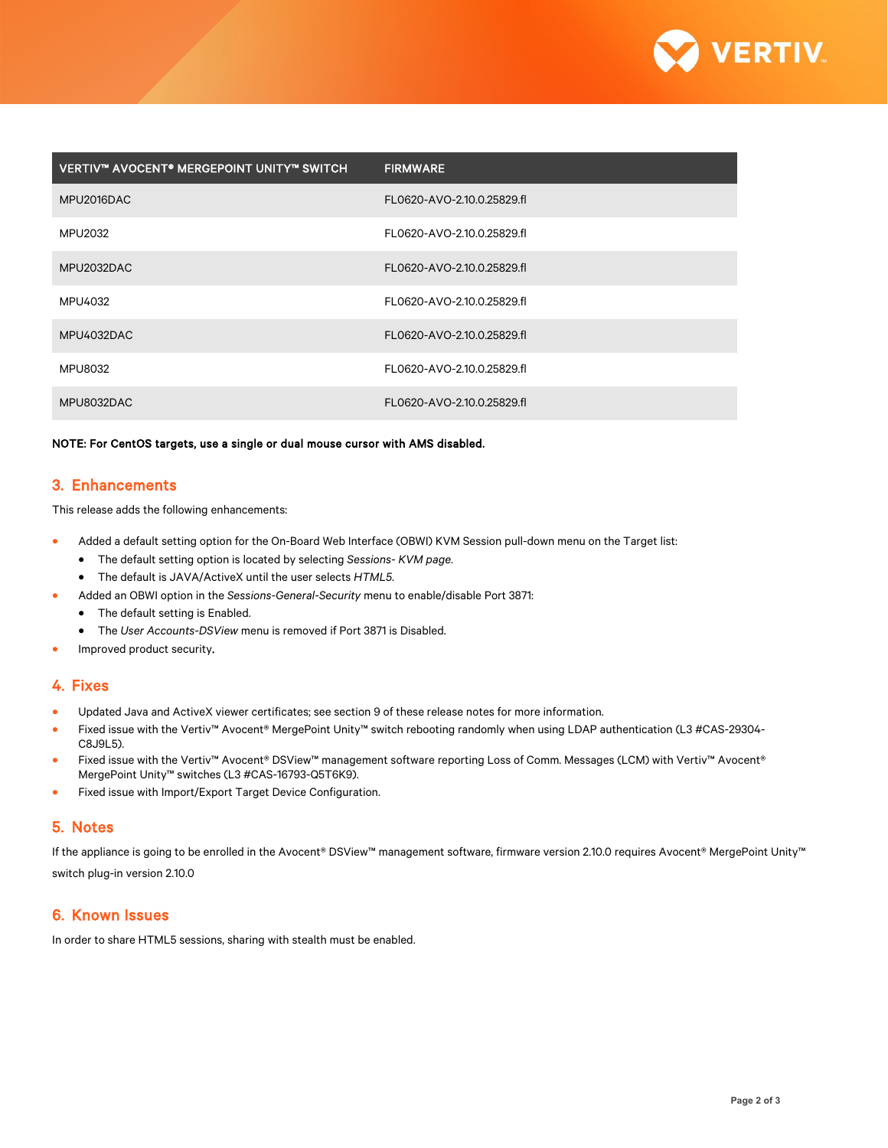

| VERTIV™ AVOCENT® MERGEPOINT UNITY™ SWITCH | <b>FIRMWARE</b>            |
|-------------------------------------------|----------------------------|
| MPU2016DAC                                | FL0620-AVO-2.10.0.25829.fl |
| MPU2032                                   | FL0620-AVO-2.10.0.25829.fl |
| MPU2032DAC                                | FL0620-AVO-2.10.0.25829.fl |
| MPU4032                                   | FL0620-AVO-2.10.0.25829.fl |
| MPU4032DAC                                | FL0620-AVO-2.10.0.25829.fl |
| <b>MPU8032</b>                            | FL0620-AVO-2.10.0.25829.fl |
| MPU8032DAC                                | FL0620-AVO-2.10.0.25829.fl |

NOTE: For CentOS targets, use a single or dual mouse cursor with AMS disabled.

## 3. Enhancements

This release adds the following enhancements:

- Added a default setting option for the On-Board Web Interface (OBWI) KVM Session pull-down menu on the Target list:
	- The default setting option is located by selecting *Sessions- KVM page*.
	- The default is JAVA/ActiveX until the user selects *HTML5*.
	- Added an OBWI option in the *Sessions-General-Security* menu to enable/disable Port 3871:
	- The default setting is Enabled.
		- The *User Accounts-DSView* menu is removed if Port 3871 is Disabled.
- Improved product security.

# 4. Fixes

- Updated Java and ActiveX viewer certificates; see section 9 of these release notes for more information.
- Fixed issue with the Vertiv™ Avocent® MergePoint Unity™ switch rebooting randomly when using LDAP authentication (L3 #CAS-29304- C8J9L5).
- Fixed issue with the Vertiv™ Avocent® DSView™ management software reporting Loss of Comm. Messages (LCM) with Vertiv™ Avocent® MergePoint Unity™ switches (L3 #CAS-16793-Q5T6K9).
- Fixed issue with Import/Export Target Device Configuration.

#### 5. Notes

If the appliance is going to be enrolled in the Avocent® DSView™ management software, firmware version 2.10.0 requires Avocent® MergePoint Unity™ switch plug-in version 2.10.0

#### 6. Known Issues

In order to share HTML5 sessions, sharing with stealth must be enabled.